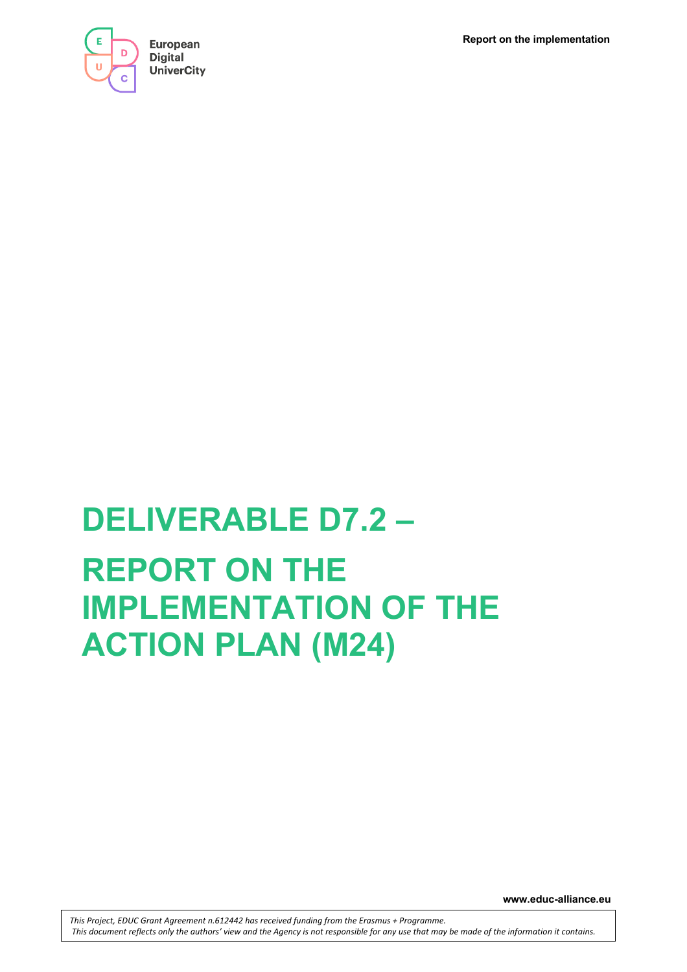**Report on the implementation**



# **DELIVERABLE D7.2 – REPORT ON THE IMPLEMENTATION OF THE ACTION PLAN (M24)**

**www.educ-alliance.eu**

*This Project, EDUC Grant Agreement n.612442 has received funding from the Erasmus + Programme. This document reflects only the authors' view and the Agency is not responsible for any use that may be made of the information it contains.*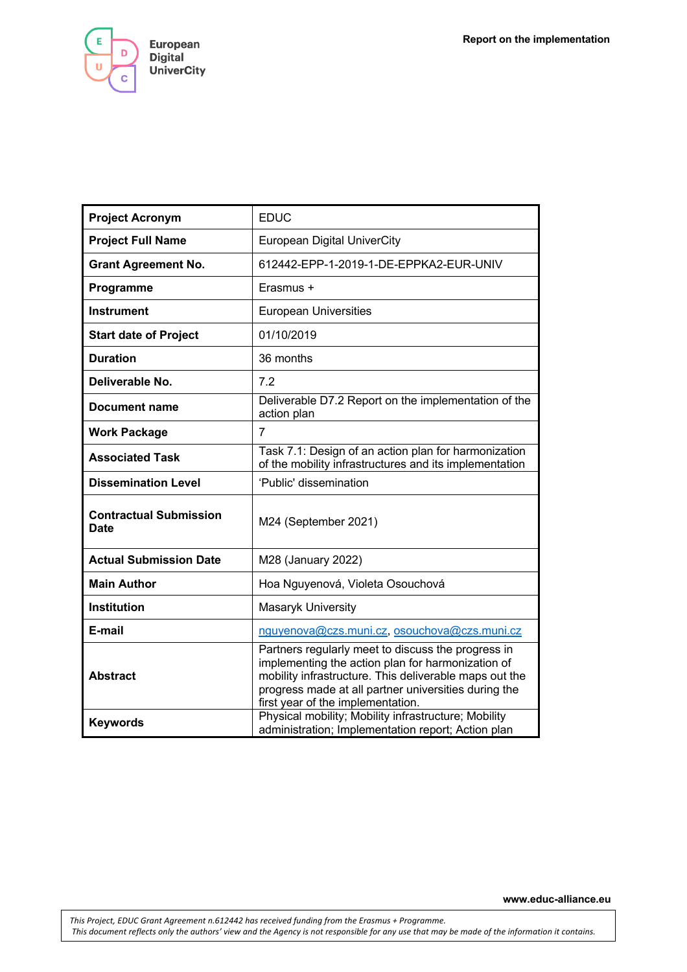Е European D **Digital UniverCity**  $\mathbf C$ 

| <b>Project Acronym</b>                       | <b>EDUC</b>                                                                                                                                                                                                                                                    |
|----------------------------------------------|----------------------------------------------------------------------------------------------------------------------------------------------------------------------------------------------------------------------------------------------------------------|
| <b>Project Full Name</b>                     | <b>European Digital UniverCity</b>                                                                                                                                                                                                                             |
| <b>Grant Agreement No.</b>                   | 612442-EPP-1-2019-1-DE-EPPKA2-EUR-UNIV                                                                                                                                                                                                                         |
| Programme                                    | Erasmus +                                                                                                                                                                                                                                                      |
| <b>Instrument</b>                            | <b>European Universities</b>                                                                                                                                                                                                                                   |
| <b>Start date of Project</b>                 | 01/10/2019                                                                                                                                                                                                                                                     |
| <b>Duration</b>                              | 36 months                                                                                                                                                                                                                                                      |
| Deliverable No.                              | 7.2                                                                                                                                                                                                                                                            |
| Document name                                | Deliverable D7.2 Report on the implementation of the<br>action plan                                                                                                                                                                                            |
| <b>Work Package</b>                          | 7                                                                                                                                                                                                                                                              |
| <b>Associated Task</b>                       | Task 7.1: Design of an action plan for harmonization<br>of the mobility infrastructures and its implementation                                                                                                                                                 |
| <b>Dissemination Level</b>                   | 'Public' dissemination                                                                                                                                                                                                                                         |
| <b>Contractual Submission</b><br><b>Date</b> | M24 (September 2021)                                                                                                                                                                                                                                           |
| <b>Actual Submission Date</b>                | M28 (January 2022)                                                                                                                                                                                                                                             |
| <b>Main Author</b>                           | Hoa Nguyenová, Violeta Osouchová                                                                                                                                                                                                                               |
| <b>Institution</b>                           | Masaryk University                                                                                                                                                                                                                                             |
| E-mail                                       | nguyenova@czs.muni.cz, osouchova@czs.muni.cz                                                                                                                                                                                                                   |
| <b>Abstract</b>                              | Partners regularly meet to discuss the progress in<br>implementing the action plan for harmonization of<br>mobility infrastructure. This deliverable maps out the<br>progress made at all partner universities during the<br>first year of the implementation. |
| <b>Keywords</b>                              | Physical mobility; Mobility infrastructure; Mobility<br>administration; Implementation report; Action plan                                                                                                                                                     |

**www.educ-alliance.eu**

*This Project, EDUC Grant Agreement n.612442 has received funding from the Erasmus + Programme. This document reflects only the authors' view and the Agency is not responsible for any use that may be made of the information it contains.*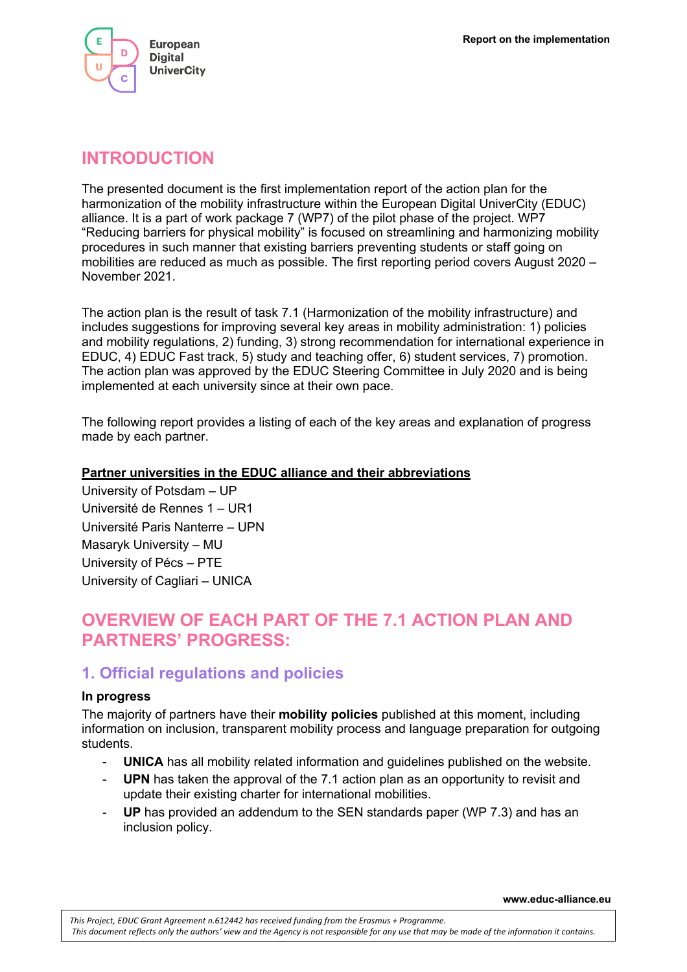

# **INTRODUCTION**

The presented document is the first implementation report of the action plan for the harmonization of the mobility infrastructure within the European Digital UniverCity (EDUC) alliance. It is a part of work package 7 (WP7) of the pilot phase of the project. WP7 "Reducing barriers for physical mobility" is focused on streamlining and harmonizing mobility procedures in such manner that existing barriers preventing students or staff going on mobilities are reduced as much as possible. The first reporting period covers August 2020 – November 2021.

The action plan is the result of task 7.1 (Harmonization of the mobility infrastructure) and includes suggestions for improving several key areas in mobility administration: 1) policies and mobility regulations, 2) funding, 3) strong recommendation for international experience in EDUC, 4) EDUC Fast track, 5) study and teaching offer, 6) student services, 7) promotion. The action plan was approved by the EDUC Steering Committee in July 2020 and is being implemented at each university since at their own pace.

The following report provides a listing of each of the key areas and explanation of progress made by each partner.

## **Partner universities in the EDUC alliance and their abbreviations**

University of Potsdam – UP Université de Rennes 1 – UR1 Université Paris Nanterre – UPN Masaryk University – MU University of Pécs – PTE University of Cagliari – UNICA

# **OVERVIEW OF EACH PART OF THE 7.1 ACTION PLAN AND PARTNERS' PROGRESS:**

# **1. Official regulations and policies**

#### **In progress**

The majority of partners have their **mobility policies** published at this moment, including information on inclusion, transparent mobility process and language preparation for outgoing students.

- **UNICA** has all mobility related information and guidelines published on the website.
- **UPN** has taken the approval of the 7.1 action plan as an opportunity to revisit and update their existing charter for international mobilities.
- **UP** has provided an addendum to the SEN standards paper (WP 7.3) and has an inclusion policy.

**www.educ-alliance.eu**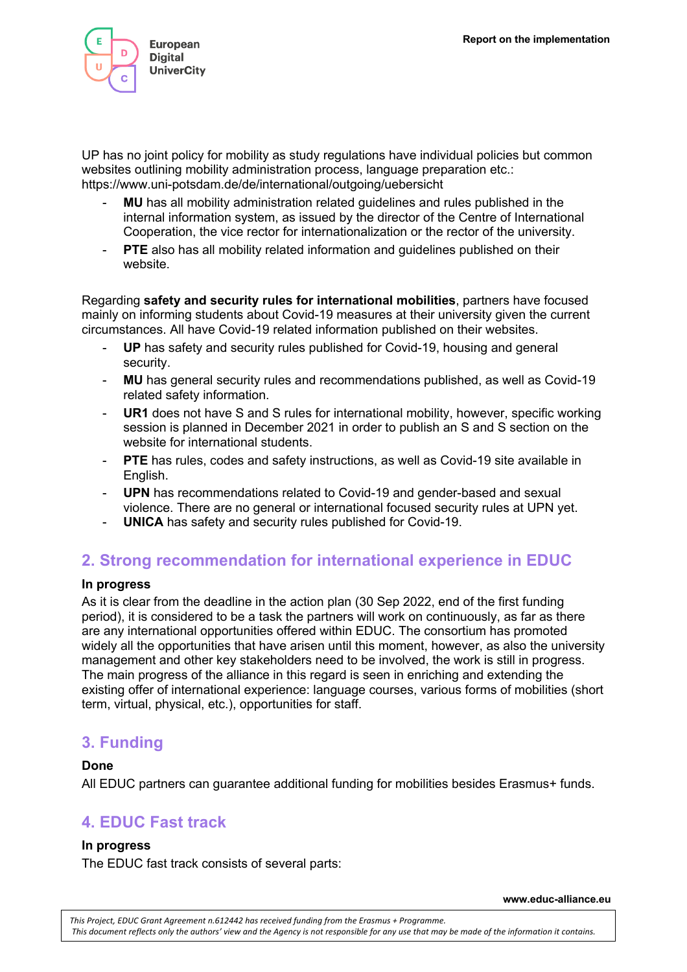

UP has no joint policy for mobility as study regulations have individual policies but common websites outlining mobility administration process, language preparation etc.: https://www.uni-potsdam.de/de/international/outgoing/uebersicht

- **MU** has all mobility administration related guidelines and rules published in the internal information system, as issued by the director of the Centre of International Cooperation, the vice rector for internationalization or the rector of the university.
- **PTE** also has all mobility related information and guidelines published on their website.

Regarding **safety and security rules for international mobilities**, partners have focused mainly on informing students about Covid-19 measures at their university given the current circumstances. All have Covid-19 related information published on their websites.

- UP has safety and security rules published for Covid-19, housing and general security.
- **MU** has general security rules and recommendations published, as well as Covid-19 related safety information.
- **UR1** does not have S and S rules for international mobility, however, specific working session is planned in December 2021 in order to publish an S and S section on the website for international students.
- PTE has rules, codes and safety instructions, as well as Covid-19 site available in English.
- **UPN** has recommendations related to Covid-19 and gender-based and sexual violence. There are no general or international focused security rules at UPN yet.
- **UNICA** has safety and security rules published for Covid-19.

# **2. Strong recommendation for international experience in EDUC**

## **In progress**

As it is clear from the deadline in the action plan (30 Sep 2022, end of the first funding period), it is considered to be a task the partners will work on continuously, as far as there are any international opportunities offered within EDUC. The consortium has promoted widely all the opportunities that have arisen until this moment, however, as also the university management and other key stakeholders need to be involved, the work is still in progress. The main progress of the alliance in this regard is seen in enriching and extending the existing offer of international experience: language courses, various forms of mobilities (short term, virtual, physical, etc.), opportunities for staff.

# **3. Funding**

## **Done**

All EDUC partners can guarantee additional funding for mobilities besides Erasmus+ funds.

# **4. EDUC Fast track**

## **In progress**

The EDUC fast track consists of several parts:

**www.educ-alliance.eu**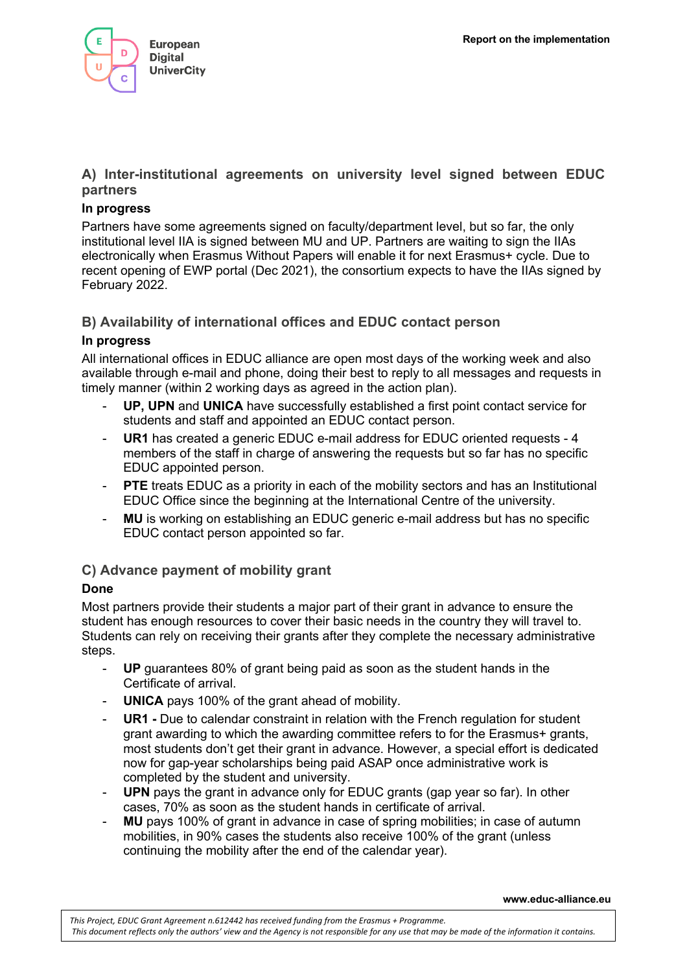

# **A) Inter-institutional agreements on university level signed between EDUC partners**

## **In progress**

Partners have some agreements signed on faculty/department level, but so far, the only institutional level IIA is signed between MU and UP. Partners are waiting to sign the IIAs electronically when Erasmus Without Papers will enable it for next Erasmus+ cycle. Due to recent opening of EWP portal (Dec 2021), the consortium expects to have the IIAs signed by February 2022.

# **B) Availability of international offices and EDUC contact person**

# **In progress**

All international offices in EDUC alliance are open most days of the working week and also available through e-mail and phone, doing their best to reply to all messages and requests in timely manner (within 2 working days as agreed in the action plan).

- UP, UPN and UNICA have successfully established a first point contact service for students and staff and appointed an EDUC contact person.
- **UR1** has created a generic EDUC e-mail address for EDUC oriented requests 4 members of the staff in charge of answering the requests but so far has no specific EDUC appointed person.
- **PTE** treats EDUC as a priority in each of the mobility sectors and has an Institutional EDUC Office since the beginning at the International Centre of the university.
- **MU** is working on establishing an EDUC generic e-mail address but has no specific EDUC contact person appointed so far.

# **C) Advance payment of mobility grant**

# **Done**

Most partners provide their students a major part of their grant in advance to ensure the student has enough resources to cover their basic needs in the country they will travel to. Students can rely on receiving their grants after they complete the necessary administrative steps.

- **UP** guarantees 80% of grant being paid as soon as the student hands in the Certificate of arrival.
- **UNICA** pays 100% of the grant ahead of mobility.
- **UR1** Due to calendar constraint in relation with the French regulation for student grant awarding to which the awarding committee refers to for the Erasmus+ grants, most students don't get their grant in advance. However, a special effort is dedicated now for gap-year scholarships being paid ASAP once administrative work is completed by the student and university.
- **UPN** pays the grant in advance only for EDUC grants (gap year so far). In other cases, 70% as soon as the student hands in certificate of arrival.
- MU pays 100% of grant in advance in case of spring mobilities; in case of autumn mobilities, in 90% cases the students also receive 100% of the grant (unless continuing the mobility after the end of the calendar year).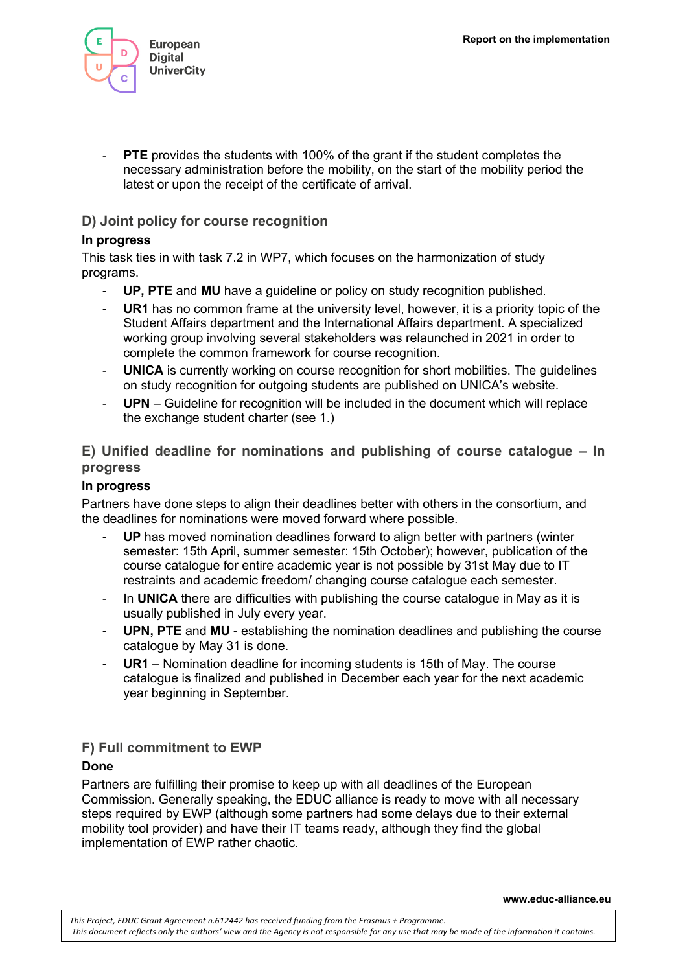

**PTE** provides the students with 100% of the grant if the student completes the necessary administration before the mobility, on the start of the mobility period the latest or upon the receipt of the certificate of arrival.

## **D) Joint policy for course recognition**

## **In progress**

This task ties in with task 7.2 in WP7, which focuses on the harmonization of study programs.

- **UP, PTE** and **MU** have a guideline or policy on study recognition published.
- **UR1** has no common frame at the university level, however, it is a priority topic of the Student Affairs department and the International Affairs department. A specialized working group involving several stakeholders was relaunched in 2021 in order to complete the common framework for course recognition.
- **UNICA** is currently working on course recognition for short mobilities. The guidelines on study recognition for outgoing students are published on UNICA's website.
- **UPN** Guideline for recognition will be included in the document which will replace the exchange student charter (see 1.)

# **E) Unified deadline for nominations and publishing of course catalogue – In progress**

## **In progress**

Partners have done steps to align their deadlines better with others in the consortium, and the deadlines for nominations were moved forward where possible.

- UP has moved nomination deadlines forward to align better with partners (winter semester: 15th April, summer semester: 15th October); however, publication of the course catalogue for entire academic year is not possible by 31st May due to IT restraints and academic freedom/ changing course catalogue each semester.
- In **UNICA** there are difficulties with publishing the course catalogue in May as it is usually published in July every year.
- **UPN, PTE** and **MU** establishing the nomination deadlines and publishing the course catalogue by May 31 is done.
- **UR1** Nomination deadline for incoming students is 15th of May. The course catalogue is finalized and published in December each year for the next academic year beginning in September.

## **F) Full commitment to EWP**

## **Done**

Partners are fulfilling their promise to keep up with all deadlines of the European Commission. Generally speaking, the EDUC alliance is ready to move with all necessary steps required by EWP (although some partners had some delays due to their external mobility tool provider) and have their IT teams ready, although they find the global implementation of EWP rather chaotic.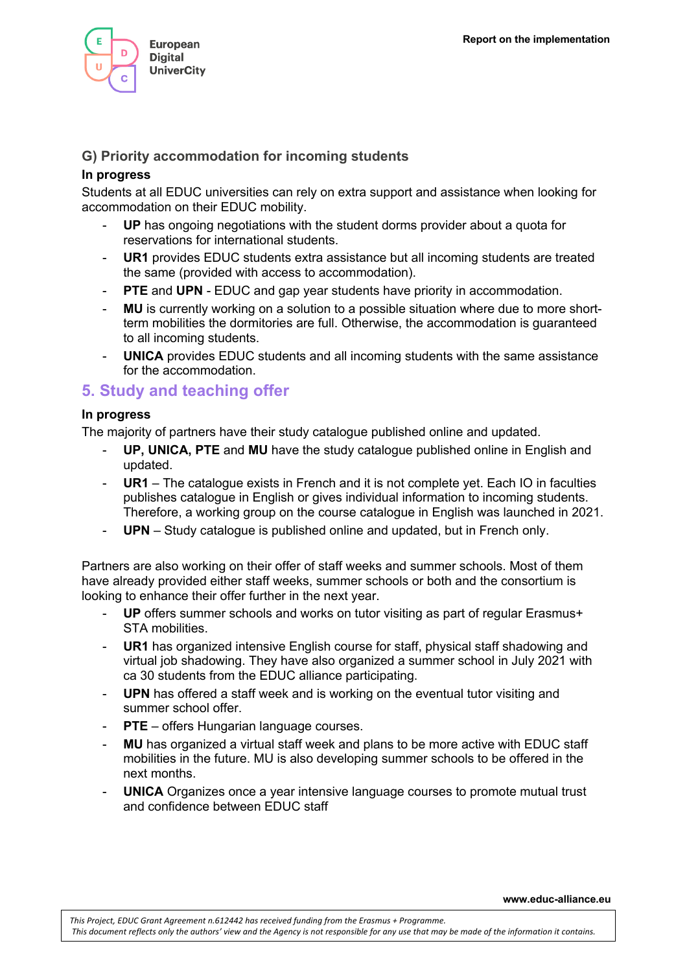

## **G) Priority accommodation for incoming students**

## **In progress**

Students at all EDUC universities can rely on extra support and assistance when looking for accommodation on their EDUC mobility.

- UP has ongoing negotiations with the student dorms provider about a quota for reservations for international students.
- **UR1** provides EDUC students extra assistance but all incoming students are treated the same (provided with access to accommodation).
- **PTE** and UPN EDUC and gap year students have priority in accommodation.
- MU is currently working on a solution to a possible situation where due to more shortterm mobilities the dormitories are full. Otherwise, the accommodation is guaranteed to all incoming students.
- **UNICA** provides EDUC students and all incoming students with the same assistance for the accommodation.

# **5. Study and teaching offer**

#### **In progress**

The majority of partners have their study catalogue published online and updated.

- **UP, UNICA, PTE** and **MU** have the study catalogue published online in English and updated.
- **UR1** The catalogue exists in French and it is not complete yet. Each IO in faculties publishes catalogue in English or gives individual information to incoming students. Therefore, a working group on the course catalogue in English was launched in 2021.
- UPN Study catalogue is published online and updated, but in French only.

Partners are also working on their offer of staff weeks and summer schools. Most of them have already provided either staff weeks, summer schools or both and the consortium is looking to enhance their offer further in the next year.

- **UP** offers summer schools and works on tutor visiting as part of regular Erasmus+ STA mobilities.
- UR1 has organized intensive English course for staff, physical staff shadowing and virtual job shadowing. They have also organized a summer school in July 2021 with ca 30 students from the EDUC alliance participating.
- **UPN** has offered a staff week and is working on the eventual tutor visiting and summer school offer.
- **PTE** offers Hungarian language courses.
- **MU** has organized a virtual staff week and plans to be more active with EDUC staff mobilities in the future. MU is also developing summer schools to be offered in the next months.
- **UNICA** Organizes once a year intensive language courses to promote mutual trust and confidence between EDUC staff